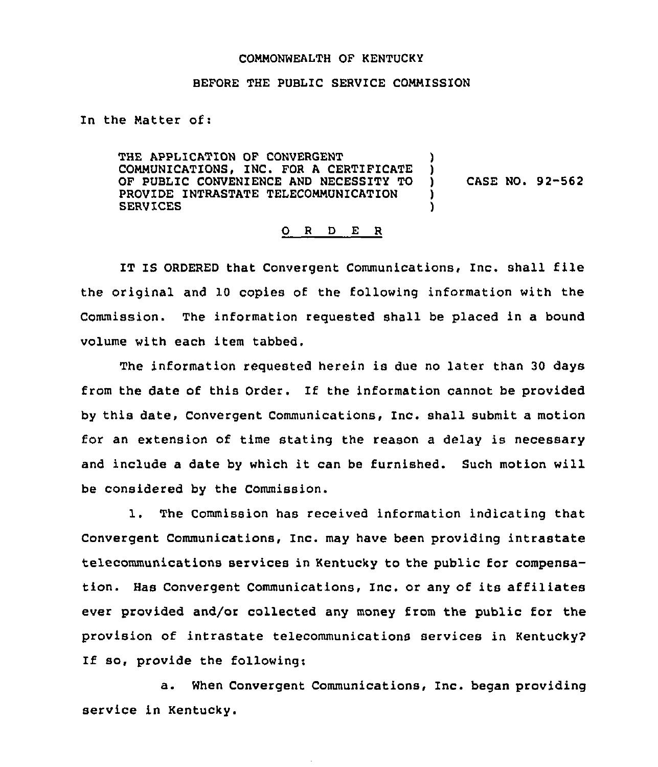## CONNONWEALTH OF KENTUCKY

## BEFORE THE PUBLIC SERVICE COMMISSION

In the Natter of:

THE APPLICATION OF CONVERGENT COMMUNICATIONS, INC. FOR <sup>A</sup> CERTIFICATE ) OF PUBLIC CONVENIENCE AND NECESSITY TO )<br>PROVIDE INTRASTATE TELECOMMUNICATION ) PROVIDE INTRASTATE TELECOMMUNICATION )<br>SERVICES **SERVICES** CASE NO. 92-562

## 0 <sup>R</sup> <sup>D</sup> E <sup>R</sup>

IT IS ORDERED that Convergent Communications, Inc. shall file the original and 10 copies of the following information with the Commission. The information requested shall be placed in a bound volume with each item tabbed.

The information requested herein is due no later than 30 days from the date of this Order. If the information cannot be provided by this date, Convergent Communications, Inc. shall submit a motion for an extension of time stating the reason a delay is necessary and include <sup>a</sup> date by which it can be furnished. Such motion will be considered by the Commission.

1. The Commission has received information indicating that Convergent Communications, Inc. may have been providing intrastate telecommunications services in Kentucky to the public for compensation. Has Convergent Communications, Inc. or any of its affiliates ever provided and/or collected any money from the public for the provision of intrastate telecommunications services in Kentucky? If so, provide the following:

a. When Convergent Communications, Inc. began providing service in Kentucky.